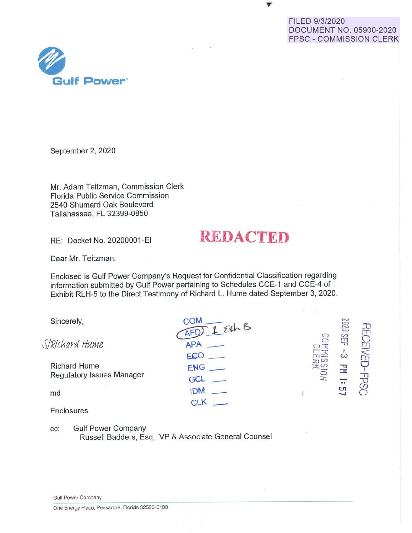### FILED 9/3/2020 DOCUMENT NO. 05900-2020 FPSC - COMMISSION CLERK



September 2, 2020

Mr. Adam Teitzman, Commission Clerk Florida Public Service Commission 2540 Shumard Oak Boulevard Tallahassee, FL 32399-0850

RE: Docket No. 20200001-EI

# **RE ACTED**

Dear Mr. Teitzman:

Enclosed is Gulf Power Company's Request for Confidential Classification regarding information submitted by Gulf Power pertaining to Schedules CCE-1 and CCE-4 of Exhibit RLH-5 to the Direct Testimony of Richard L. Hume dated September 3, 2020.

|       | SEP       |      |
|-------|-----------|------|
| $m =$ | ప         |      |
|       | 공         |      |
| ž.    | $\bullet$ |      |
|       | بت        |      |
|       |           |      |
|       | $\Box$    | 0202 |

cc: Gulf Power Company

Russell Badders, Esq., VP & Associate General Counsel

Gulf Power Company

One Energy Place, Pensacola, Florida 32520-0100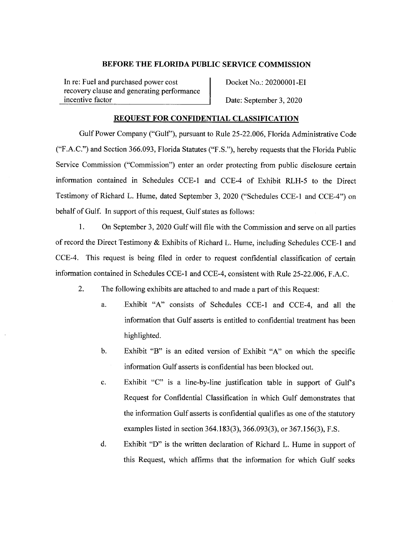In re: Fuel and purchased power cost recovery clause and generating performance incentive factor

Docket No.: 20200001-EI

Date: September 3, 2020

#### **REQUEST FOR CONFIDENTIAL CLASSIFICATION**

Gulf Power Company ("Gulf''), pursuant to Rule 25-22.006, Florida Administrative Code ("F.A.C.") and Section 366.093, Florida Statutes ("F.S."), hereby requests that the Florida Public Service Commission ("Commission") enter an order protecting from public disclosure certain information contained in Schedules CCE-1 and CCE-4 of Exhibit RLH-5 to the Direct Testimony of Richard L. Hume, dated September 3, 2020 ("Schedules CCE-1 and CCE-4") on behalf of Gulf. In support of this request, Gulf states as follows:

**1.** On September 3, 2020 Gulf will file with the Commission and serve on all parties of record the Direct Testimony & Exhibits of Richard L. Hume, including Schedules CCE-1 and CCE-4. This request is being filed in order to request confidential classification of certain information contained in Schedules CCE-1 and CCE-4, consistent with Rule 25-22.006, F.A.C.

- 2. The following exhibits are attached to and made a part of this Request:
	- a. Exhibit "A" consists of Schedules CCE-1 and CCE-4, and all the information that Gulf asserts is entitled to confidential treatment has been highlighted.
	- b. Exhibit "B" is an edited version of Exhibit "A" on which the specific information Gulf asserts is confidential has been blocked out.
	- c. Exhibit "C" is a line-by-line justification table in support of Gulf's Request for Confidential Classification in which Gulf demonstrates that the information Gulf asserts is confidential qualifies as one of the statutory examples listed in section 364.183(3), 366.093(3), or 367.156(3), F.S.
	- d. Exhibit "D" is the written declaration of Richard L. Hume in support of this Request, which affirms that the information for which Gulf seeks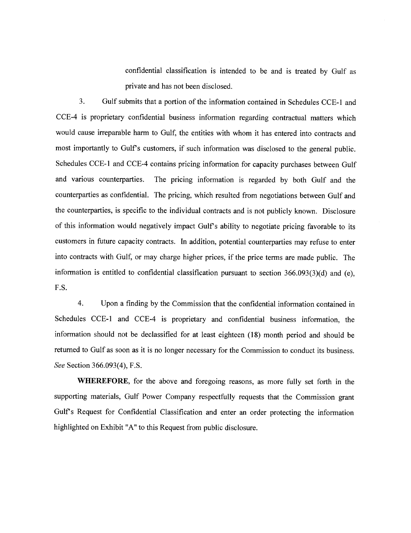confidential classification is intended to be and is treated by Gulf as private and has not been disclosed.

3. Gulf submits that a portion of the information contained in Schedules CCE-1 and CCE-4 is proprietary confidential business information regarding contractual matters which would cause irreparable harm to Gulf, the entities with whom it has entered into contracts and most importantly to Gulf's customers, if such information was disclosed to the general public. Schedules CCE-1 and CCE-4 contains pricing information for capacity purchases between Gulf and various counterparties. The pricing information is regarded by both Gulf and the counterparties as confidential. The pricing, which resulted from negotiations between Gulf and the counterparties, is specific to the individual contracts and is not publicly known. Disclosure of this information would negatively impact Gulf's ability to negotiate pricing favorable to its customers in future capacity contracts. In addition, potential counterparties may refuse to enter into contracts with Gulf, or may charge higher prices, if the price terms are made public. The information is entitled to confidential classification pursuant to section  $366.093(3)(d)$  and (e), F.S.

4. Upon a finding by the Commission that the confidential information contained in Schedules CCE-1 and CCE-4 is proprietary and confidential business information, the information should not be declassified for at least eighteen (18) month period and should be returned to Gulf as soon as it is no longer necessary for the Commission to conduct its business. *See* Section 366.093(4), F.S.

**WHEREFORE,** for the above and foregoing reasons, as more fully set forth in the supporting materials, Gulf Power Company respectfully requests that the Commission grant Gulf's Request for Confidential Classification and enter an order protecting the information highlighted on Exhibit "A" to this Request from public disclosure.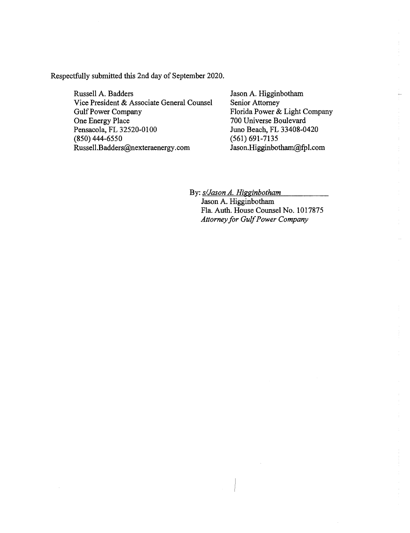Respectfully submitted this 2nd day of September 2020.

Russell A. Badders Vice President & Associate General Counsel Gulf Power Company One Energy Place Pensacola, FL 32520-0100 (850) 444-6550 Russell.Badders@nexteraenergy.com

Jason A. Higginbotham Senior Attorney Florida Power & Light Company 700 Universe Boulevard Juno Beach, FL 33408-0420 (561) 691-7135 Jason.Higginbotham@fpl.com

By:  $s$ /*Jason A. Higginbotham* 

Jason A. Higginbotham Fla. Auth. House Counsel No. 1017875 *Attorney for Gulf Power Company* 

 $\mathcal{A}$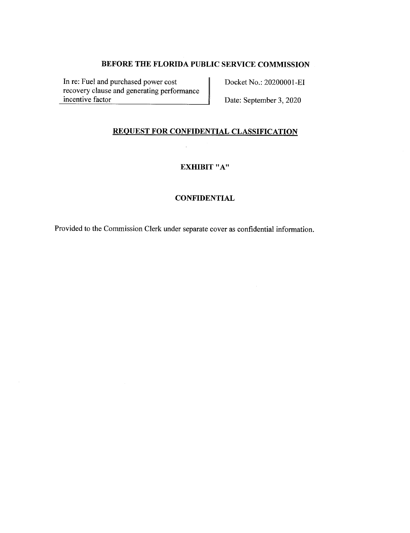In re: Fuel and purchased power cost recovery clause and generating performance incentive factor

Docket No.: 20200001-EI

Date: September 3, 2020

## **REQUEST FOR CONFIDENTIAL CLASSIFICATION**

# **EXHIBIT** "A"

### **CONFIDENTIAL**

Provided to the Commission Clerk under separate cover as confidential information.

 $\bar{\mathcal{A}}$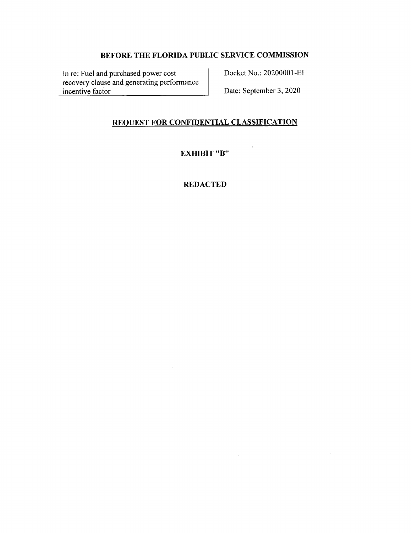In re: Fuel and purchased power cost recovery clause and generating performance incentive factor

Docket No.: 20200001-EI

Date: September 3, 2020

### **REQUEST FOR CONFIDENTIAL CLASSIFICATION**

**EXHIBIT "B"** 

### **REDACTED**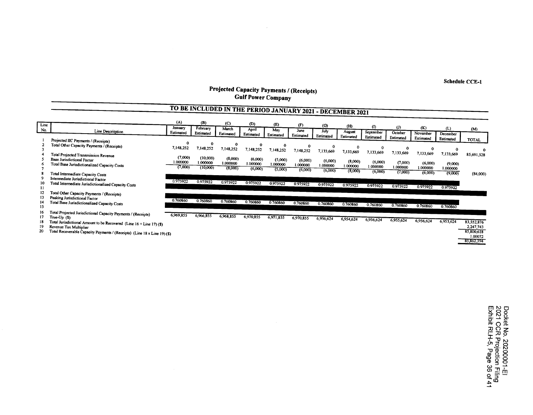**Schedule CCE-1** 

#### **Projected Capacity Payments/ (Receipts) Gulf Power Company**

 $\sim$ 

|                            |                                                                                                                                                                                                                                                                 |                               |                                  |                                | TO BE INCLUDED IN THE PERIOD JANUARY 2021 - DECEMBER 2021 |                                |                                |                                |                                |                                |                       |                       |                       |                                                                |
|----------------------------|-----------------------------------------------------------------------------------------------------------------------------------------------------------------------------------------------------------------------------------------------------------------|-------------------------------|----------------------------------|--------------------------------|-----------------------------------------------------------|--------------------------------|--------------------------------|--------------------------------|--------------------------------|--------------------------------|-----------------------|-----------------------|-----------------------|----------------------------------------------------------------|
| Line<br>No.                | Line Descritption                                                                                                                                                                                                                                               | (A)<br>January                | (B)<br>February                  | (C)<br>March                   | (D)<br>April                                              | (E)<br>May                     | (F)<br>June                    | (G)<br>July                    | (H)<br>August                  | $\bf{0}$                       | (                     | (K)                   | (L)                   | (M)                                                            |
|                            |                                                                                                                                                                                                                                                                 | Estimated                     | Estimated                        | Estimated                      | Estimated                                                 | Estimated                      | Estimated                      | Estimated                      | Estimated                      | September<br>Estimated         | October<br>Estimated  | November<br>Estimated | December<br>Estimated | <b>TOTAL</b>                                                   |
|                            | Projected IIC Payments / (Receipts)<br>Total Other Capacity Payments / (Receipts)<br>Total Projected Transmission Revenue                                                                                                                                       | 0<br>7,148,252                | 7,148,252                        | 7,148,252                      | $\Omega$<br>7,148,252                                     | 7,148,252                      | 7,148,252                      | 0<br>7,133,669                 | 0<br>7,133,669                 | 7,133,669                      | $\Omega$<br>7,133,669 | 0<br>7,133,669        | 7,133,669             | 85,691,528                                                     |
|                            | <b>Base Jurisdictional Factor</b><br>Total Base Jurisdictionalized Capacity Costs                                                                                                                                                                               | (7,000)<br>.000000<br>(7,000) | (10,000)<br>1.000000<br>(10,000) | (8,000)<br>1.000000<br>(8,000) | (6,000)<br>1.000000<br>(6,000)                            | (5,000)<br>1.000000<br>(5,000) | (6,000)<br>1.000000<br>(6,000) | (6,000)<br>1.000000<br>(6,000) | (8,000)<br>1.000000<br>(8,000) | (6,000)<br>1.000000<br>(6,000) | (7,000)<br>1.000000   | (6,000)<br>.000000    | (9,000)<br>1.000000   |                                                                |
| $\mathbf{1}$               | Total Intermediate Capacity Costs<br>Intermediate Jurisdictional Factor<br>Total Intermediate Jurisdictionalized Capacity Costs                                                                                                                                 | 0.975922                      | 0.975922                         | 0.975922                       | 0.975922                                                  | 0.975922                       | 0.975922                       | 0.975922                       | 0.975922                       | 0.975922                       | (7,000)<br>0.975922   | (6,000)<br>0.975922   | (9,000)<br>0.975922   | (84,000)                                                       |
| 14<br>15                   | Total Other Capacity Payments / (Receipts)<br>Peaking Jurisdictional Factor<br>Total Base Jurisdictionalized Capacity Costs                                                                                                                                     | 0.760860                      | 0.760860                         | 0.760860                       | 0.760860                                                  | 0.760860                       | 0.760860                       | 0.760860                       | 0.760860                       | 0.760860                       | 0.760860              | 0760860               | 0.760860              |                                                                |
| 16<br>17<br>18<br>19<br>20 | Total Projected Jurisdictional Capacity Payments / (Receipts)<br>True- $Up($)$<br>Total Jurisdictional Amount to be Recovered (Line $16 +$ Line 17) (\$)<br>Revenue Tax Multiplier<br>Total Recoverable Capacity Payments / (Receipts) (Line 18 x Line 19) (\$) | 6,969,855                     | 6,966,855                        | 6,968,855                      | 6,970,855                                                 | 6,971,855                      | 6,970,855                      | 6,956,624                      | 6,954,624                      | 6,956,624                      | 6,955,624             | 6,956,624             | 6,953,624             | 83,552,876<br>2,247,743<br>85,800.618<br>1.00072<br>85,862,394 |

Docket<br>2021 C<br>Exhibit No. 2020001-El<br>CR Projection Filing<br>RLH-5, Page 36 of 41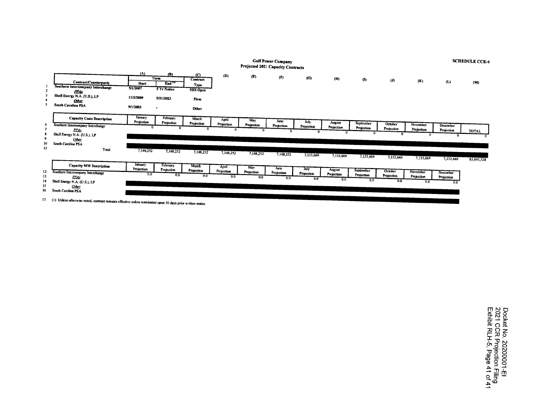|         |                                                                                                                                                                                                                                                                                                                                                   |                                 |                                                 |                                            |                     |                   | <b>Gulf Power Company</b><br>Projected 2021 Capacity Contracts |                           |                                    |                                       |                              |                               |                               | <b>SCHEDULE CCE-4</b> |
|---------|---------------------------------------------------------------------------------------------------------------------------------------------------------------------------------------------------------------------------------------------------------------------------------------------------------------------------------------------------|---------------------------------|-------------------------------------------------|--------------------------------------------|---------------------|-------------------|----------------------------------------------------------------|---------------------------|------------------------------------|---------------------------------------|------------------------------|-------------------------------|-------------------------------|-----------------------|
|         | Contract/Counterparty<br>Southern Intercompany Interchange<br><b>PPAs</b>                                                                                                                                                                                                                                                                         | (A)<br><b>Start</b><br>5/1/2007 | (B)<br>Term<br>End <sup>er</sup><br>5 Yr Notice | (C)<br>Contract<br>Type<br><b>SES Opco</b> | (D)                 | (E)               | $(\mathbf{F})$                                                 | (G)                       | (H)                                | $\bf{0}$                              | (D)                          | (K)                           | (L)                           | (M)                   |
|         | Shell Energy N.A. (U.S.), LP<br><b>Other</b><br><b>South Carolina PSA</b>                                                                                                                                                                                                                                                                         | 11/2/2009<br>9/1/2003           | 5/31/2023                                       | Firm<br><b>Other</b>                       |                     |                   |                                                                |                           |                                    |                                       |                              |                               |                               |                       |
| 6<br>10 | <b>Capacity Costs Description</b><br>Southern Intercompany Interchange<br><b>PPAs</b><br>Shell Energy N.A. (U.S.), LP<br>Other<br>South Carolina PSA                                                                                                                                                                                              | Jamary<br>Projection            | <b>February</b><br>Projection                   | March<br>Projection                        | April<br>Projection | May<br>Projection | June<br>Projection                                             | July<br>Projection        | August<br>Projection               | September<br>Projection               | October<br>Projection        | November<br>Projection        | December<br>Projection        | TOTAL                 |
| Ħ       | Total<br>Capacity MW Description                                                                                                                                                                                                                                                                                                                  | 7,148,252<br>January            | 7,148,252<br>February                           | 7,148,252<br>March                         | 7,148,252<br>April  | 7,148,252<br>May  | 7,148,252<br>June                                              | 7,133,669                 | 7,133,669                          | 7,133,669                             | 7,133,669                    | 7,133,669                     | 7,133,669                     | 85,691,528            |
| 12<br>. | Southern Intercompany Interchange<br><b>PPAs</b><br>Shell Energy N.A. (U.S.), LP<br>Other<br>South Carolina PSA<br>the second contract of the second contract of the second contract of the second contract of the second contract of the second contract of the second contract of the second contract of the second contract of the second cont | Projection<br>0.0               | Projection<br>0.0                               | Projection<br>0.0                          | Projection<br>0,0   | Projection<br>0.0 | Projection<br>0.0                                              | July<br>Projection<br>0,0 | <b>August</b><br>Projection<br>0.0 | <b>September</b><br>Projection<br>0.0 | October<br>Projection<br>0.0 | November<br>Projection<br>0.0 | December<br>Projection<br>0.0 |                       |

I7 (1) Unless otherwise noted, contract remains effective unless terminated upon 30 days prior written notice.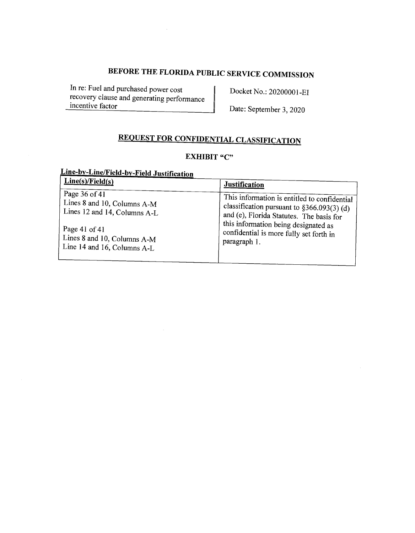In re: Fuel and purchased power cost recovery clause and generating performance incentive factor

 $\mathcal{A}$ 

 $\bar{\mathcal{A}}$ 

Docket No.: 20200001-EI

Date: September 3, 2020

# **REQUEST FOR CONFIDENTIAL CLASSIFICATION**

# **EXHIBIT "C"**

# **Line-by-Line/Field-by-Field Justification**

| Line(s)/Field(s)             | <b>Justification</b>                         |
|------------------------------|----------------------------------------------|
| Page 36 of 41                | This information is entitled to confidential |
| Lines 8 and 10, Columns A-M  | classification pursuant to $$366.093(3)$ (d) |
| Lines 12 and 14, Columns A-L | and (e), Florida Statutes. The basis for     |
| Page 41 of 41                | this information being designated as         |
| Lines 8 and 10, Columns A-M  | confidential is more fully set forth in      |
| Line 14 and 16, Columns A-L  | paragraph 1.                                 |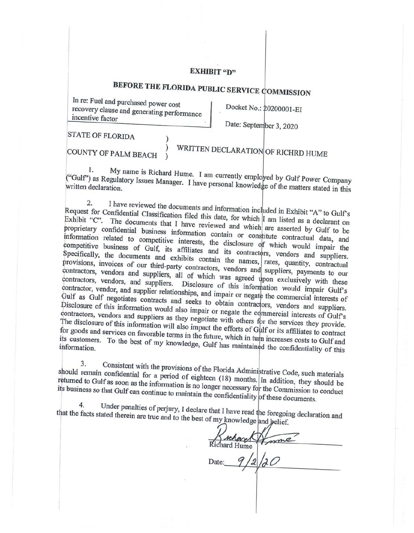#### **EXHIBIT "D"**

# BEFORE THE FLORIDA PUBLIC SERVICE COMMISSION

In re: Fuel and purchased power cost recovery clause and generating performance incentive factor

Docket No.: 20200001-EI

Date: September 3, 2020

STATE OF FLORIDA )

COUNTY OF PALM BEACH )

# ) WRITTEN DECLARATION OF RICHRD HUME

1. My name is Richard Hume. I am currently employed by Gulf Power Company ("Gulf") as Regulatory Issues Manager. I have personal knowledge of the matters stated in this written declaration.

2. I have reviewed the documents and information included in Exhibit "A" to Gulf's Request for Confidential Classification filed this date, for which I am listed as a declarant on Exhibit "C". The documents that I have reviewed and which are asserted by Gulf to be proprietary confidential business information contain or constitute contractual data, and information related to competitive interests, the disclosure of which would impair the competitive business of Gulf, its affiliates and its contractors, vendors and suppliers. Specifically, the documents and exhibits contain the names, rates, quantity, contractual provisions, invoices of our third-party contractors, vendors and suppliers, payments to our contractors, vendors and suppliers, all of which was agreed upon exclusively with these contractors, vendors, and suppliers. Disclosure of this information would impair Gulf's contractor, vendor, and supplier relationships, and impair or negate the commercial interests of<br>Gulf as Gulf negotiates contracts and seeks to all interests of Gulf as Gulf negotiates contracts and seeks to obtain contractors, vendors and suppliers.<br>Disclosure of this information would also impair or poorts the section of and suppliers. Disclosure of this information would also impair or negate the commercial interests of Gulf's contractors, vendors and suppliers as they negotiate with others for the services they provide. The disclosure of this information will also impact the efforts of Gulf or its affiliates to contract for goods and services on favorable terms in the future, which in turn increases costs to Gulf and its customers. To the best of my knowledge, Gulf has maintained the confidentiality of this information.

3. Consistent with the provisions of the Florida Administrative Code, such materials should remain confidential for a period of eighteen (18) months. In addition, they should be returned to Gulf as soon as the information is no longer necessary for the Commission to conduct its business so that Gulf can continue to maintain the confidentiality of these documents.<br>4. Index penalties of  $\ddot{a}$ .

Under penalties of perjury, I declare that I have read the foregoing declaration and that the facts stated therein are true and to the best of my knowledge and belief.

Date:

rehard Richard Hume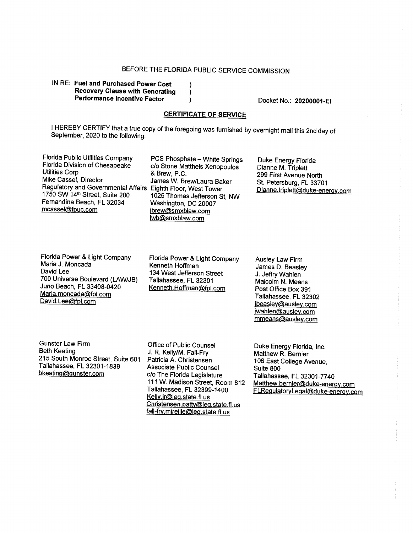IN RE: **Fuel and Purchased Power Cost Recovery Clause with Generating Performance Incentive Factor** 

Docket No.: **20200001-EI** 

### **CERTIFICATE OF SERVICE**

I HEREBY CERTIFY that a true copy of the foregoing was furnished by overnight mail this 2nd day of September, 2020 to the following:

Florida Public Utilities Company PCS Phosphate - White Springs<br>Florida Division of Chesapeake C/o Stone Mattheis Xenopoulos Florida Division of Chesapeake c/o Stone Mattheis Xenopoulos<br>Utilities Corp<br>R Brew P C Utilities Corp & Brew, P.C.<br>Mike Cassel. Director .lames W. Br Regulatory and Governmental Affairs Eighth Floor, West Tower Fernandina Beach, FL 32034<br>mcassel@fpuc.com

James W. Brew/Laura Baker 1025 Thomas Jefferson St, NW<br>Washington, DC 20007 jbrew@smxblaw.com lwb@smxblaw.com

Duke Energy Florida Dianne M. Triplett 299 First Avenue North St. Petersburg, FL 33701 Dianne. triplett@duke-enerqy.com

Florida Power & Light Company Maria J. Moncada David Lee 700 Universe Boulevard (LAW/JB) Juno Beach, FL 33408-0420 Maria.moncada@fpl.com David.Lee@fpl.com

Florida Power & Light Company Kenneth Hoffman 134 West Jefferson Street Tallahassee, FL 32301 Kenneth.Hoffman@fpl.com

Ausley Law Firm James D. Beasley J. Jeffry Wahlen Malcolm N. Means Post Office Box 391 Tallahassee, FL 32302 jbeasley@ausley.com jwahlen@ausley.com mmeans@ausley.com

Gunster Law Firm Beth Keating 215 South Monroe Street, Suite 601 Tallahassee, FL 32301-1839 bkeating@gunster.com

Office of Public Counsel J. R. Kelly/M. Fall-Fry Patricia A. Christensen Associate Public Counsel c/o The Florida Legislature 111 W. Madison Street, Room 812 Tallahassee, FL 32399-1400 Kelly.jr@leq.state.fl.us Christensen. patty@leq.state. fl. us fall-fry. mireille@leq.state.fl.us

Duke Energy Florida, Inc. Matthew R. Bernier 106 East College Avenue, Suite 800 Tallahassee, FL 32301-7740 Matthew.bernier@duke-enerqy.com FLRegulatoryLeqal@duke-enerqy.com